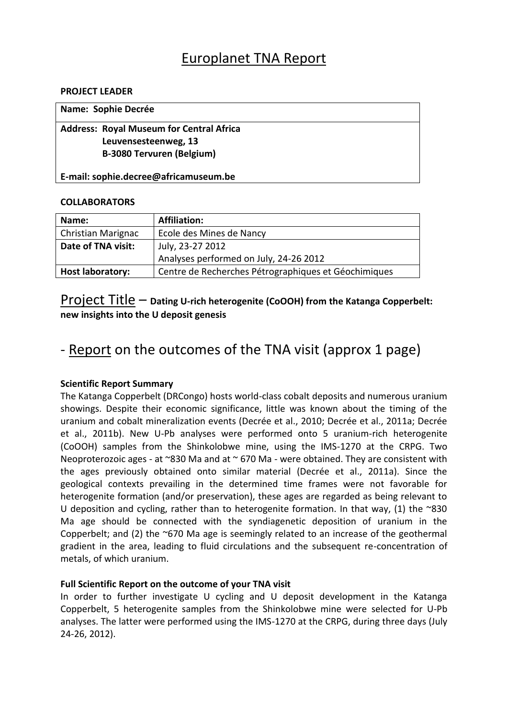### Europlanet TNA Report

#### **PROJECT LEADER**

| Name: Sophie Decrée                             |  |
|-------------------------------------------------|--|
| <b>Address: Royal Museum for Central Africa</b> |  |
| Leuvensesteenweg, 13                            |  |
| <b>B-3080 Tervuren (Belgium)</b>                |  |
| E-mail: sophie.decree@africamuseum.be           |  |

### **COLLABORATORS**

| Name:                     | <b>Affiliation:</b>                                  |
|---------------------------|------------------------------------------------------|
| <b>Christian Marignac</b> | Ecole des Mines de Nancy                             |
| Date of TNA visit:        | July, 23-27 2012                                     |
|                           | Analyses performed on July, 24-26 2012               |
| <b>Host laboratory:</b>   | Centre de Recherches Pétrographiques et Géochimiques |

### Project Title – **Dating U-rich heterogenite (CoOOH) from the Katanga Copperbelt: new insights into the U deposit genesis**

## - Report on the outcomes of the TNA visit (approx 1 page)

### **Scientific Report Summary**

The Katanga Copperbelt (DRCongo) hosts world-class cobalt deposits and numerous uranium showings. Despite their economic significance, little was known about the timing of the uranium and cobalt mineralization events (Decrée et al., 2010; Decrée et al., 2011a; Decrée et al., 2011b). New U-Pb analyses were performed onto 5 uranium-rich heterogenite (CoOOH) samples from the Shinkolobwe mine, using the IMS-1270 at the CRPG. Two Neoproterozoic ages - at  $\sim$ 830 Ma and at  $\sim$  670 Ma - were obtained. They are consistent with the ages previously obtained onto similar material (Decrée et al., 2011a). Since the geological contexts prevailing in the determined time frames were not favorable for heterogenite formation (and/or preservation), these ages are regarded as being relevant to U deposition and cycling, rather than to heterogenite formation. In that way, (1) the  $\sim$ 830 Ma age should be connected with the syndiagenetic deposition of uranium in the Copperbelt; and (2) the ~670 Ma age is seemingly related to an increase of the geothermal gradient in the area, leading to fluid circulations and the subsequent re-concentration of metals, of which uranium.

### **Full Scientific Report on the outcome of your TNA visit**

In order to further investigate U cycling and U deposit development in the Katanga Copperbelt, 5 heterogenite samples from the Shinkolobwe mine were selected for U-Pb analyses. The latter were performed using the IMS-1270 at the CRPG, during three days (July 24-26, 2012).